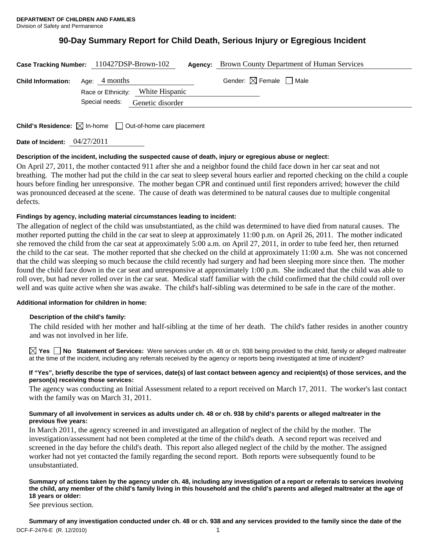# **90-Day Summary Report for Child Death, Serious Injury or Egregious Incident**

| Case Tracking Number: 110427DSP-Brown-102 |                |                                   | <b>Agency:</b> Brown County Department of Human Services |
|-------------------------------------------|----------------|-----------------------------------|----------------------------------------------------------|
| <b>Child Information:</b> Age: 4 months   |                |                                   | Gender: $\boxtimes$ Female $\Box$ Male                   |
|                                           |                | Race or Ethnicity: White Hispanic |                                                          |
|                                           | Special needs: | Genetic disorder                  |                                                          |
|                                           |                |                                   |                                                          |
|                                           |                |                                   |                                                          |

**Child's Residence:**  $\boxtimes$  In-home  $\Box$  Out-of-home care placement

**Date of Incident:** 04/27/2011

# **Description of the incident, including the suspected cause of death, injury or egregious abuse or neglect:**

On April 27, 2011, the mother contacted 911 after she and a neighbor found the child face down in her car seat and not breathing. The mother had put the child in the car seat to sleep several hours earlier and reported checking on the child a couple hours before finding her unresponsive. The mother began CPR and continued until first reponders arrived; however the child was pronounced deceased at the scene. The cause of death was determined to be natural causes due to multiple congenital defects.

# **Findings by agency, including material circumstances leading to incident:**

The allegation of neglect of the child was unsubstantiated, as the child was determined to have died from natural causes. The mother reported putting the child in the car seat to sleep at approximately 11:00 p.m. on April 26, 2011. The mother indicated she removed the child from the car seat at approximately 5:00 a.m. on April 27, 2011, in order to tube feed her, then returned the child to the car seat. The mother reported that she checked on the child at approximately 11:00 a.m. She was not concerned that the child was sleeping so much because the child recently had surgery and had been sleeping more since then. The mother found the child face down in the car seat and unresponsive at approximately 1:00 p.m. She indicated that the child was able to roll over, but had never rolled over in the car seat. Medical staff familiar with the child confirmed that the child could roll over well and was quite active when she was awake. The child's half-sibling was determined to be safe in the care of the mother.

## **Additional information for children in home:**

## **Description of the child's family:**

The child resided with her mother and half-sibling at the time of her death. The child's father resides in another country and was not involved in her life.

**Yes No Statement of Services:** Were services under ch. 48 or ch. 938 being provided to the child, family or alleged maltreater at the time of the incident, including any referrals received by the agency or reports being investigated at time of incident?

## **If "Yes", briefly describe the type of services, date(s) of last contact between agency and recipient(s) of those services, and the person(s) receiving those services:**

The agency was conducting an Initial Assessment related to a report received on March 17, 2011. The worker's last contact with the family was on March 31, 2011.

#### **Summary of all involvement in services as adults under ch. 48 or ch. 938 by child's parents or alleged maltreater in the previous five years:**

In March 2011, the agency screened in and investigated an allegation of neglect of the child by the mother. The investigation/assessment had not been completed at the time of the child's death. A second report was received and screened in the day before the child's death. This report also alleged neglect of the child by the mother. The assigned worker had not yet contacted the family regarding the second report. Both reports were subsequently found to be unsubstantiated.

#### **Summary of actions taken by the agency under ch. 48, including any investigation of a report or referrals to services involving the child, any member of the child's family living in this household and the child's parents and alleged maltreater at the age of 18 years or older:**

See previous section.

DCF-F-2476-E (R. 12/2010) 2008 12:00 12:00 12:00 12:00 12:00 12:00 12:00 12:00 12:00 12:00 12:00 12:00 12:00 1 **Summary of any investigation conducted under ch. 48 or ch. 938 and any services provided to the family since the date of the**